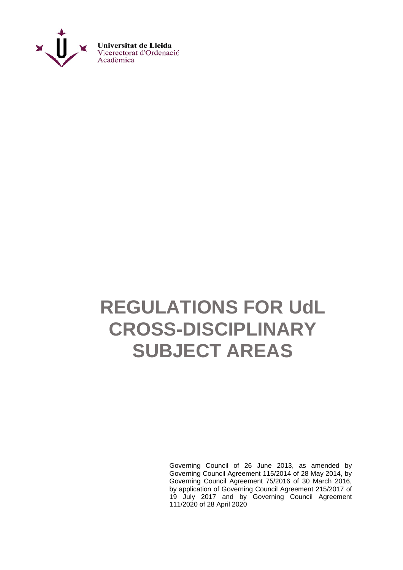

# **REGULATIONS FOR UdL CROSS-DISCIPLINARY SUBJECT AREAS**

Governing Council of 26 June 2013, as amended by Governing Council Agreement 115/2014 of 28 May 2014, by Governing Council Agreement 75/2016 of 30 March 2016, by application of Governing Council Agreement 215/2017 of 19 July 2017 and by Governing Council Agreement 111/2020 of 28 April 2020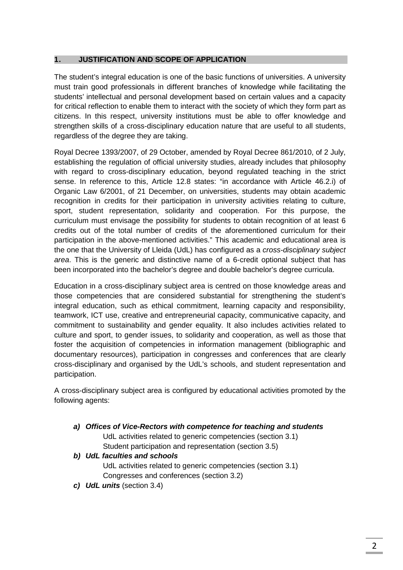## **1. JUSTIFICATION AND SCOPE OF APPLICATION**

The student's integral education is one of the basic functions of universities. A university must train good professionals in different branches of knowledge while facilitating the students' intellectual and personal development based on certain values and a capacity for critical reflection to enable them to interact with the society of which they form part as citizens. In this respect, university institutions must be able to offer knowledge and strengthen skills of a cross-disciplinary education nature that are useful to all students, regardless of the degree they are taking.

Royal Decree 1393/2007, of 29 October, amended by Royal Decree 861/2010, of 2 July, establishing the regulation of official university studies, already includes that philosophy with regard to cross-disciplinary education, beyond regulated teaching in the strict sense. In reference to this, Article 12.8 states: "in accordance with Article 46.2.i) of Organic Law 6/2001, of 21 December, on universities, students may obtain academic recognition in credits for their participation in university activities relating to culture, sport, student representation, solidarity and cooperation. For this purpose, the curriculum must envisage the possibility for students to obtain recognition of at least 6 credits out of the total number of credits of the aforementioned curriculum for their participation in the above-mentioned activities." This academic and educational area is the one that the University of Lleida (UdL) has configured as a *cross-disciplinary subject area*. This is the generic and distinctive name of a 6-credit optional subject that has been incorporated into the bachelor's degree and double bachelor's degree curricula.

Education in a cross-disciplinary subject area is centred on those knowledge areas and those competencies that are considered substantial for strengthening the student's integral education, such as ethical commitment, learning capacity and responsibility, teamwork, ICT use, creative and entrepreneurial capacity, communicative capacity, and commitment to sustainability and gender equality. It also includes activities related to culture and sport, to gender issues, to solidarity and cooperation, as well as those that foster the acquisition of competencies in information management (bibliographic and documentary resources), participation in congresses and conferences that are clearly cross-disciplinary and organised by the UdL's schools, and student representation and participation.

A cross-disciplinary subject area is configured by educational activities promoted by the following agents:

*a) Offices of Vice-Rectors with competence for teaching and students*

UdL activities related to generic competencies (section 3.1) Student participation and representation (section 3.5)

- *b) UdL faculties and schools* UdL activities related to generic competencies (section 3.1) Congresses and conferences (section 3.2)
- *c) UdL units* (section 3.4)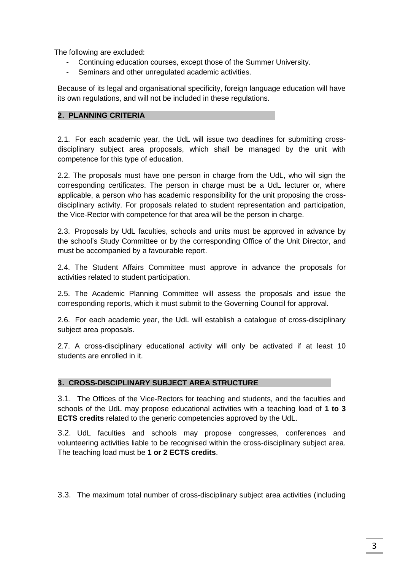The following are excluded:

- Continuing education courses, except those of the Summer University.
- Seminars and other unregulated academic activities.

Because of its legal and organisational specificity, foreign language education will have its own regulations, and will not be included in these regulations.

## **2. PLANNING CRITERIA**

2.1. For each academic year, the UdL will issue two deadlines for submitting crossdisciplinary subject area proposals, which shall be managed by the unit with competence for this type of education.

2.2. The proposals must have one person in charge from the UdL, who will sign the corresponding certificates. The person in charge must be a UdL lecturer or, where applicable, a person who has academic responsibility for the unit proposing the crossdisciplinary activity. For proposals related to student representation and participation, the Vice-Rector with competence for that area will be the person in charge.

2.3. Proposals by UdL faculties, schools and units must be approved in advance by the school's Study Committee or by the corresponding Office of the Unit Director, and must be accompanied by a favourable report.

2.4. The Student Affairs Committee must approve in advance the proposals for activities related to student participation.

2.5. The Academic Planning Committee will assess the proposals and issue the corresponding reports, which it must submit to the Governing Council for approval.

2.6. For each academic year, the UdL will establish a catalogue of cross-disciplinary subject area proposals.

2.7. A cross-disciplinary educational activity will only be activated if at least 10 students are enrolled in it.

## **3. CROSS-DISCIPLINARY SUBJECT AREA STRUCTURE**

3.1. The Offices of the Vice-Rectors for teaching and students, and the faculties and schools of the UdL may propose educational activities with a teaching load of **1 to 3 ECTS credits** related to the generic competencies approved by the UdL.

3.2. UdL faculties and schools may propose congresses, conferences and volunteering activities liable to be recognised within the cross-disciplinary subject area. The teaching load must be **1 or 2 ECTS credits**.

3.3. The maximum total number of cross-disciplinary subject area activities (including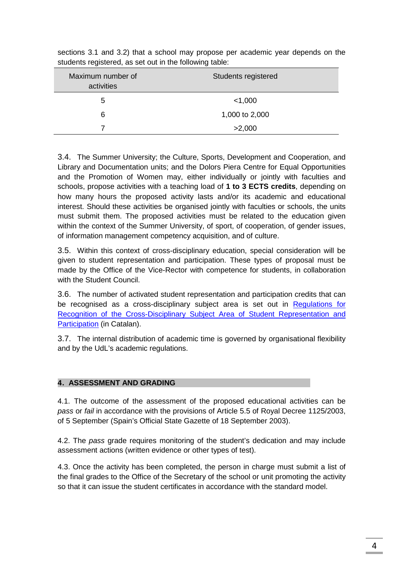| Maximum number of<br>activities | Students registered |
|---------------------------------|---------------------|
| 5                               | $<$ 1,000           |
| 6                               | 1,000 to 2,000      |
|                                 | >2,000              |

sections 3.1 and 3.2) that a school may propose per academic year depends on the students registered, as set out in the following table:

3.4. The Summer University; the Culture, Sports, Development and Cooperation, and Library and Documentation units; and the Dolors Piera Centre for Equal Opportunities and the Promotion of Women may, either individually or jointly with faculties and schools, propose activities with a teaching load of **1 to 3 ECTS credits**, depending on how many hours the proposed activity lasts and/or its academic and educational interest. Should these activities be organised jointly with faculties or schools, the units must submit them. The proposed activities must be related to the education given within the context of the Summer University, of sport, of cooperation, of gender issues, of information management competency acquisition, and of culture.

3.5. Within this context of cross-disciplinary education, special consideration will be given to student representation and participation. These types of proposal must be made by the Office of the Vice-Rector with competence for students, in collaboration with the Student Council.

3.6. The number of activated student representation and participation credits that can be recognised as a cross-disciplinary subject area is set out in Regulations for [Recognition of the Cross-Disciplinary Subject Area of Student Representation and](http://www.udl.cat/export/sites/universitat-lleida/ca/organs/vicerectors/veo/.galleries/docs/Materia_transversal_normativa_i_reconeixement/Reconeixement_credits_MTRiPE2016/Acord-218-2017.-Modificacio-Normativa-reconeixement-MTRiPE.pdf)  [Participation](http://www.udl.cat/export/sites/universitat-lleida/ca/organs/vicerectors/veo/.galleries/docs/Materia_transversal_normativa_i_reconeixement/Reconeixement_credits_MTRiPE2016/Acord-218-2017.-Modificacio-Normativa-reconeixement-MTRiPE.pdf) (in Catalan).

3.7. The internal distribution of academic time is governed by organisational flexibility and by the UdL's academic regulations.

## **4. ASSESSMENT AND GRADING**

4.1. The outcome of the assessment of the proposed educational activities can be *pass* or *fail* in accordance with the provisions of Article 5.5 of Royal Decree 1125/2003, of 5 September (Spain's Official State Gazette of 18 September 2003).

4.2. The *pass* grade requires monitoring of the student's dedication and may include assessment actions (written evidence or other types of test).

4.3. Once the activity has been completed, the person in charge must submit a list of the final grades to the Office of the Secretary of the school or unit promoting the activity so that it can issue the student certificates in accordance with the standard model.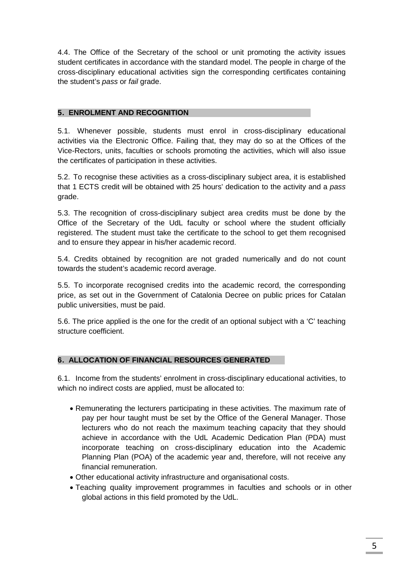4.4. The Office of the Secretary of the school or unit promoting the activity issues student certificates in accordance with the standard model. The people in charge of the cross-disciplinary educational activities sign the corresponding certificates containing the student's *pass* or *fail* grade.

# **5. ENROLMENT AND RECOGNITION**

5.1. Whenever possible, students must enrol in cross-disciplinary educational activities via the Electronic Office. Failing that, they may do so at the Offices of the Vice-Rectors, units, faculties or schools promoting the activities, which will also issue the certificates of participation in these activities.

5.2. To recognise these activities as a cross-disciplinary subject area, it is established that 1 ECTS credit will be obtained with 25 hours' dedication to the activity and a *pass* grade.

5.3. The recognition of cross-disciplinary subject area credits must be done by the Office of the Secretary of the UdL faculty or school where the student officially registered. The student must take the certificate to the school to get them recognised and to ensure they appear in his/her academic record.

5.4. Credits obtained by recognition are not graded numerically and do not count towards the student's academic record average.

5.5. To incorporate recognised credits into the academic record, the corresponding price, as set out in the Government of Catalonia Decree on public prices for Catalan public universities, must be paid.

5.6. The price applied is the one for the credit of an optional subject with a 'C' teaching structure coefficient.

# **6. ALLOCATION OF FINANCIAL RESOURCES GENERATED**

6.1. Income from the students' enrolment in cross-disciplinary educational activities, to which no indirect costs are applied, must be allocated to:

- Remunerating the lecturers participating in these activities. The maximum rate of pay per hour taught must be set by the Office of the General Manager. Those lecturers who do not reach the maximum teaching capacity that they should achieve in accordance with the UdL Academic Dedication Plan (PDA) must incorporate teaching on cross-disciplinary education into the Academic Planning Plan (POA) of the academic year and, therefore, will not receive any financial remuneration.
- Other educational activity infrastructure and organisational costs.
- Teaching quality improvement programmes in faculties and schools or in other global actions in this field promoted by the UdL.